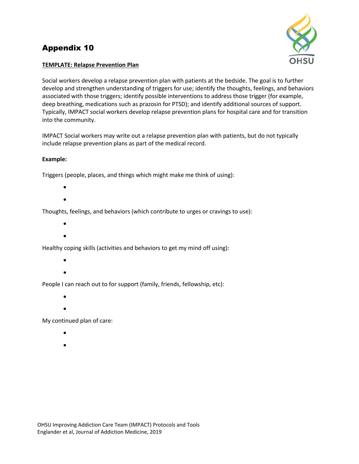# Appendix 10



# **TEMPLATE: Relapse Prevention Plan**

Social workers develop a relapse prevention plan with patients at the bedside. The goal is to further develop and strengthen understanding of triggers for use; identify the thoughts, feelings, and behaviors associated with those triggers; identify possible interventions to address those trigger (for example, deep breathing, medications such as prazosin for PTSD); and identify additional sources of support. Typically, IMPACT social workers develop relapse prevention plans for hospital care and for transition into the community.

IMPACT Social workers may write out a relapse prevention plan with patients, but do not typically include relapse prevention plans as part of the medical record.

# **Example:**

Triggers (people, places, and things which might make me think of using):

- $\bullet$
- $\bullet$

Thoughts, feelings, and behaviors (which contribute to urges or cravings to use):

- $\bullet$
- $\bullet$

Healthy coping skills (activities and behaviors to get my mind off using):

- $\bullet$
- $\bullet$

People I can reach out to for support (family, friends, fellowship, etc):

- $\bullet$
- $\bullet$

My continued plan of care:

- $\bullet$
- $\bullet$